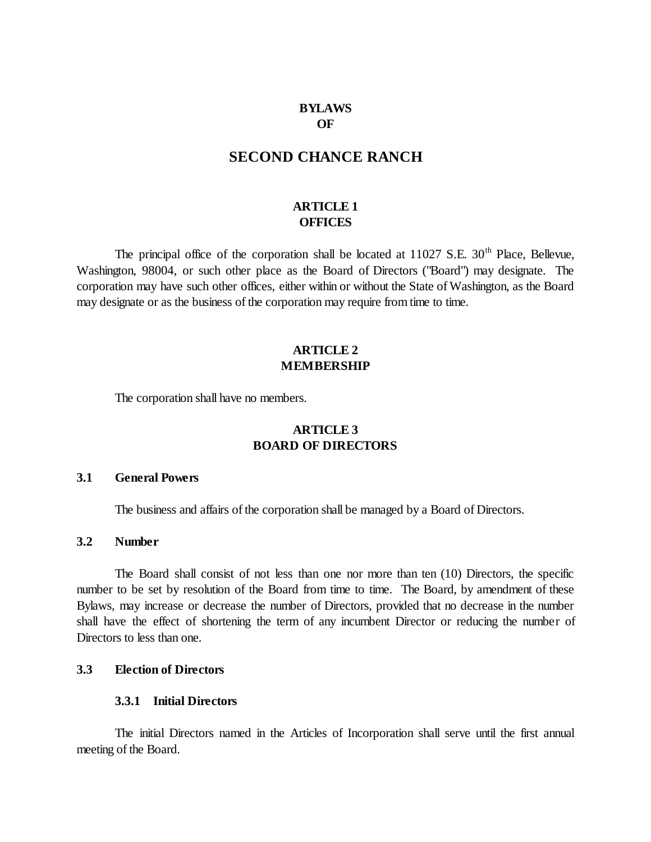## **BYLAWS OF**

# **SECOND CHANCE RANCH**

# **ARTICLE 1 OFFICES**

The principal office of the corporation shall be located at  $11027$  S.E.  $30<sup>th</sup>$  Place, Bellevue, Washington, 98004, or such other place as the Board of Directors ("Board") may designate. The corporation may have such other offices, either within or without the State of Washington, as the Board may designate or as the business of the corporation may require from time to time.

# **ARTICLE 2 MEMBERSHIP**

The corporation shall have no members.

# **ARTICLE 3 BOARD OF DIRECTORS**

#### **3.1 General Powers**

The business and affairs of the corporation shall be managed by a Board of Directors.

#### **3.2 Number**

The Board shall consist of not less than one nor more than ten (10) Directors, the specific number to be set by resolution of the Board from time to time. The Board, by amendment of these Bylaws, may increase or decrease the number of Directors, provided that no decrease in the number shall have the effect of shortening the term of any incumbent Director or reducing the number of Directors to less than one.

# **3.3 Election of Directors**

## **3.3.1 Initial Directors**

The initial Directors named in the Articles of Incorporation shall serve until the first annual meeting of the Board.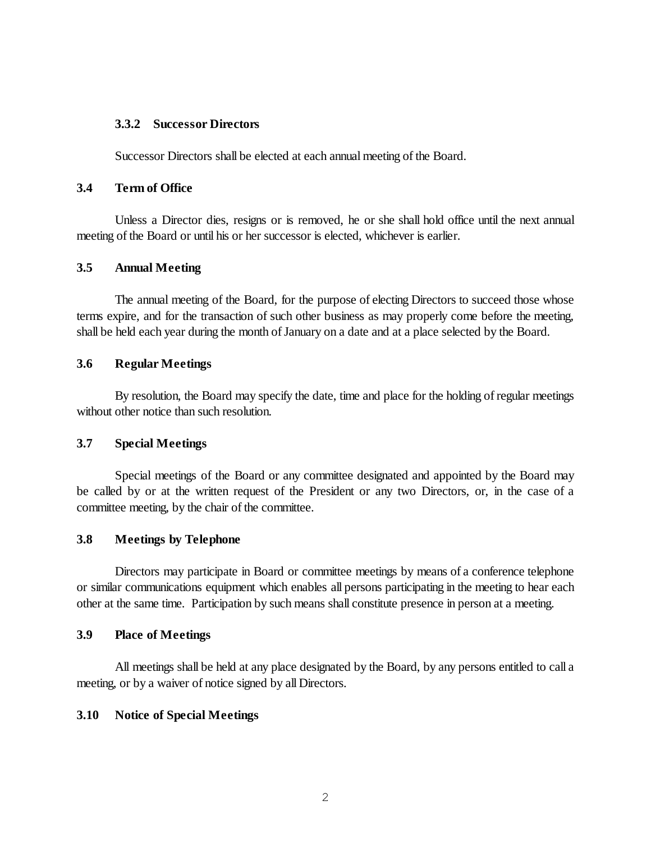## **3.3.2 Successor Directors**

Successor Directors shall be elected at each annual meeting of the Board.

# **3.4 Term of Office**

Unless a Director dies, resigns or is removed, he or she shall hold office until the next annual meeting of the Board or until his or her successor is elected, whichever is earlier.

# **3.5 Annual Meeting**

The annual meeting of the Board, for the purpose of electing Directors to succeed those whose terms expire, and for the transaction of such other business as may properly come before the meeting, shall be held each year during the month of January on a date and at a place selected by the Board.

## **3.6 Regular Meetings**

By resolution, the Board may specify the date, time and place for the holding of regular meetings without other notice than such resolution.

# **3.7 Special Meetings**

Special meetings of the Board or any committee designated and appointed by the Board may be called by or at the written request of the President or any two Directors, or, in the case of a committee meeting, by the chair of the committee.

# **3.8 Meetings by Telephone**

Directors may participate in Board or committee meetings by means of a conference telephone or similar communications equipment which enables all persons participating in the meeting to hear each other at the same time. Participation by such means shall constitute presence in person at a meeting.

#### **3.9 Place of Meetings**

All meetings shall be held at any place designated by the Board, by any persons entitled to call a meeting, or by a waiver of notice signed by all Directors.

# **3.10 Notice of Special Meetings**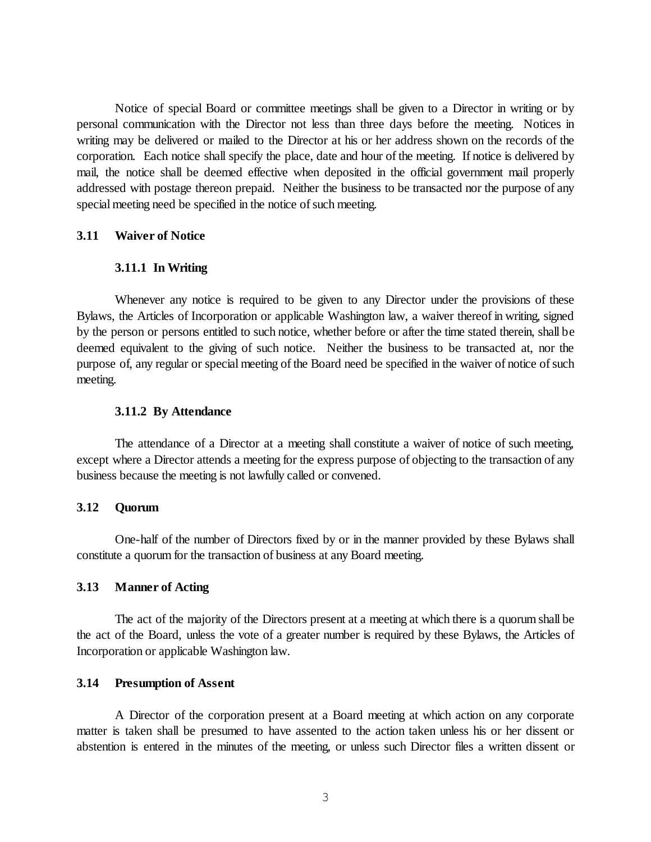Notice of special Board or committee meetings shall be given to a Director in writing or by personal communication with the Director not less than three days before the meeting. Notices in writing may be delivered or mailed to the Director at his or her address shown on the records of the corporation. Each notice shall specify the place, date and hour of the meeting. If notice is delivered by mail, the notice shall be deemed effective when deposited in the official government mail properly addressed with postage thereon prepaid. Neither the business to be transacted nor the purpose of any special meeting need be specified in the notice of such meeting.

# **3.11 Waiver of Notice**

#### **3.11.1 In Writing**

Whenever any notice is required to be given to any Director under the provisions of these Bylaws, the Articles of Incorporation or applicable Washington law, a waiver thereof in writing, signed by the person or persons entitled to such notice, whether before or after the time stated therein, shall be deemed equivalent to the giving of such notice. Neither the business to be transacted at, nor the purpose of, any regular or special meeting of the Board need be specified in the waiver of notice of such meeting.

#### **3.11.2 By Attendance**

The attendance of a Director at a meeting shall constitute a waiver of notice of such meeting, except where a Director attends a meeting for the express purpose of objecting to the transaction of any business because the meeting is not lawfully called or convened.

#### **3.12 Quorum**

One-half of the number of Directors fixed by or in the manner provided by these Bylaws shall constitute a quorum for the transaction of business at any Board meeting.

#### **3.13 Manner of Acting**

The act of the majority of the Directors present at a meeting at which there is a quorum shall be the act of the Board, unless the vote of a greater number is required by these Bylaws, the Articles of Incorporation or applicable Washington law.

## **3.14 Presumption of Assent**

A Director of the corporation present at a Board meeting at which action on any corporate matter is taken shall be presumed to have assented to the action taken unless his or her dissent or abstention is entered in the minutes of the meeting, or unless such Director files a written dissent or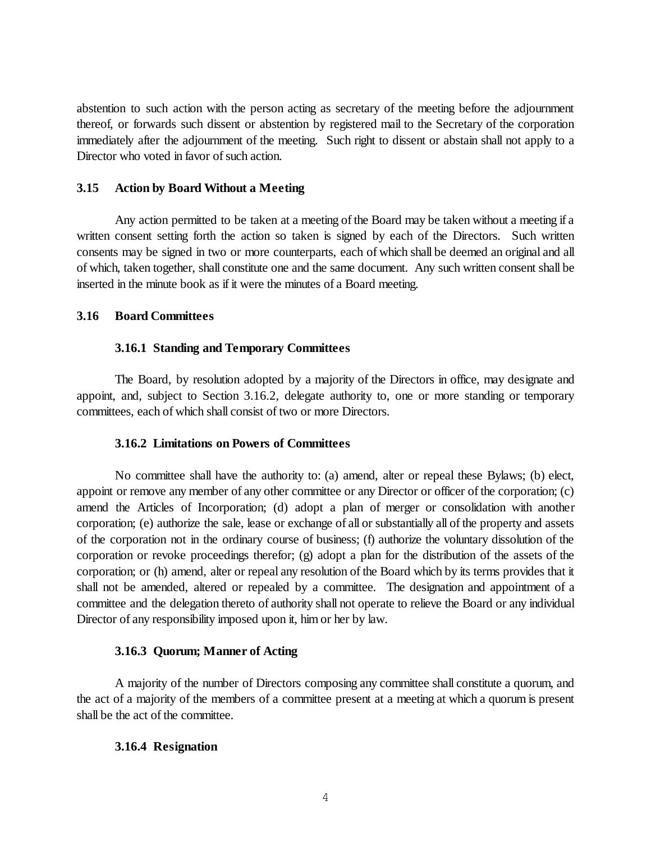abstention to such action with the person acting as secretary of the meeting before the adjournment thereof, or forwards such dissent or abstention by registered mail to the Secretary of the corporation immediately after the adjournment of the meeting. Such right to dissent or abstain shall not apply to a Director who voted in favor of such action.

## **3.15 Action by Board Without a Meeting**

Any action permitted to be taken at a meeting of the Board may be taken without a meeting if a written consent setting forth the action so taken is signed by each of the Directors. Such written consents may be signed in two or more counterparts, each of which shall be deemed an original and all of which, taken together, shall constitute one and the same document. Any such written consent shall be inserted in the minute book as if it were the minutes of a Board meeting.

# **3.16 Board Committees**

## **3.16.1 Standing and Temporary Committees**

The Board, by resolution adopted by a majority of the Directors in office, may designate and appoint, and, subject to Section 3.16.2, delegate authority to, one or more standing or temporary committees, each of which shall consist of two or more Directors.

# **3.16.2 Limitations on Powers of Committees**

No committee shall have the authority to: (a) amend, alter or repeal these Bylaws; (b) elect, appoint or remove any member of any other committee or any Director or officer of the corporation; (c) amend the Articles of Incorporation; (d) adopt a plan of merger or consolidation with another corporation; (e) authorize the sale, lease or exchange of all or substantially all of the property and assets of the corporation not in the ordinary course of business; (f) authorize the voluntary dissolution of the corporation or revoke proceedings therefor; (g) adopt a plan for the distribution of the assets of the corporation; or (h) amend, alter or repeal any resolution of the Board which by its terms provides that it shall not be amended, altered or repealed by a committee. The designation and appointment of a committee and the delegation thereto of authority shall not operate to relieve the Board or any individual Director of any responsibility imposed upon it, him or her by law.

#### **3.16.3 Quorum; Manner of Acting**

A majority of the number of Directors composing any committee shall constitute a quorum, and the act of a majority of the members of a committee present at a meeting at which a quorum is present shall be the act of the committee.

# **3.16.4 Resignation**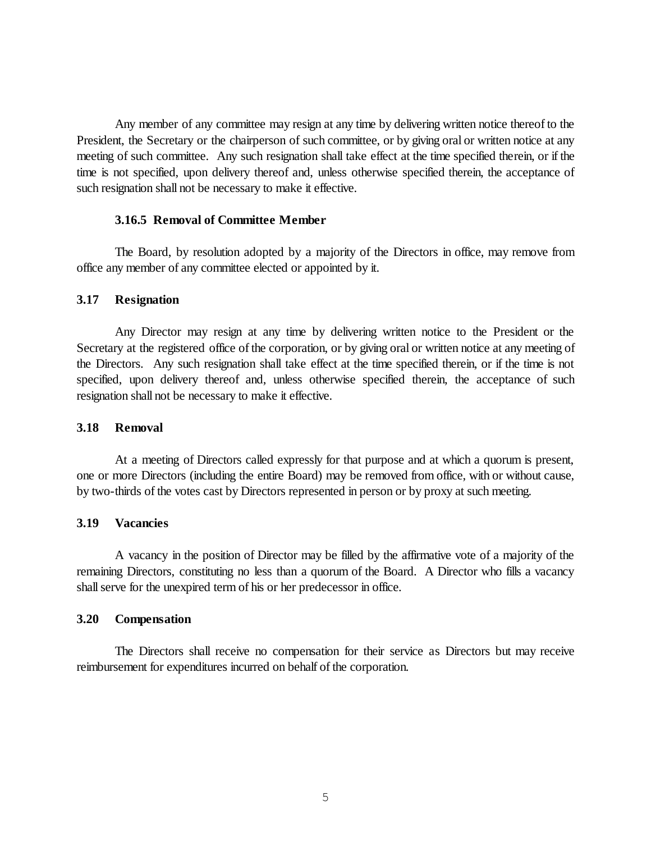Any member of any committee may resign at any time by delivering written notice thereof to the President, the Secretary or the chairperson of such committee, or by giving oral or written notice at any meeting of such committee. Any such resignation shall take effect at the time specified therein, or if the time is not specified, upon delivery thereof and, unless otherwise specified therein, the acceptance of such resignation shall not be necessary to make it effective.

#### **3.16.5 Removal of Committee Member**

The Board, by resolution adopted by a majority of the Directors in office, may remove from office any member of any committee elected or appointed by it.

## **3.17 Resignation**

Any Director may resign at any time by delivering written notice to the President or the Secretary at the registered office of the corporation, or by giving oral or written notice at any meeting of the Directors. Any such resignation shall take effect at the time specified therein, or if the time is not specified, upon delivery thereof and, unless otherwise specified therein, the acceptance of such resignation shall not be necessary to make it effective.

# **3.18 Removal**

At a meeting of Directors called expressly for that purpose and at which a quorum is present, one or more Directors (including the entire Board) may be removed from office, with or without cause, by two-thirds of the votes cast by Directors represented in person or by proxy at such meeting.

# **3.19 Vacancies**

A vacancy in the position of Director may be filled by the affirmative vote of a majority of the remaining Directors, constituting no less than a quorum of the Board. A Director who fills a vacancy shall serve for the unexpired term of his or her predecessor in office.

#### **3.20 Compensation**

The Directors shall receive no compensation for their service as Directors but may receive reimbursement for expenditures incurred on behalf of the corporation.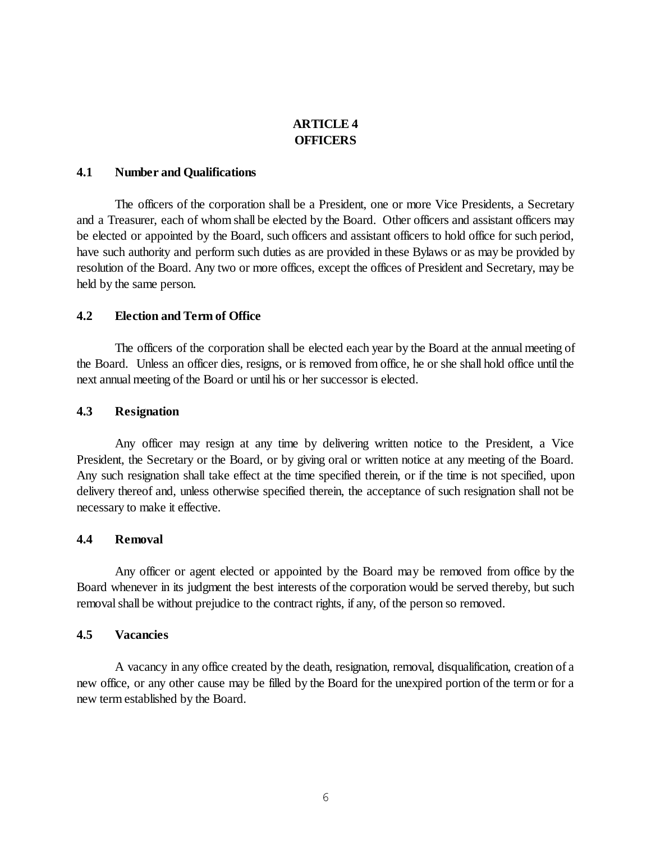# **ARTICLE 4 OFFICERS**

## **4.1 Number and Qualifications**

The officers of the corporation shall be a President, one or more Vice Presidents, a Secretary and a Treasurer, each of whom shall be elected by the Board. Other officers and assistant officers may be elected or appointed by the Board, such officers and assistant officers to hold office for such period, have such authority and perform such duties as are provided in these Bylaws or as may be provided by resolution of the Board. Any two or more offices, except the offices of President and Secretary, may be held by the same person.

## **4.2 Election and Term of Office**

The officers of the corporation shall be elected each year by the Board at the annual meeting of the Board. Unless an officer dies, resigns, or is removed from office, he or she shall hold office until the next annual meeting of the Board or until his or her successor is elected.

## **4.3 Resignation**

Any officer may resign at any time by delivering written notice to the President, a Vice President, the Secretary or the Board, or by giving oral or written notice at any meeting of the Board. Any such resignation shall take effect at the time specified therein, or if the time is not specified, upon delivery thereof and, unless otherwise specified therein, the acceptance of such resignation shall not be necessary to make it effective.

#### **4.4 Removal**

Any officer or agent elected or appointed by the Board may be removed from office by the Board whenever in its judgment the best interests of the corporation would be served thereby, but such removal shall be without prejudice to the contract rights, if any, of the person so removed.

#### **4.5 Vacancies**

A vacancy in any office created by the death, resignation, removal, disqualification, creation of a new office, or any other cause may be filled by the Board for the unexpired portion of the term or for a new term established by the Board.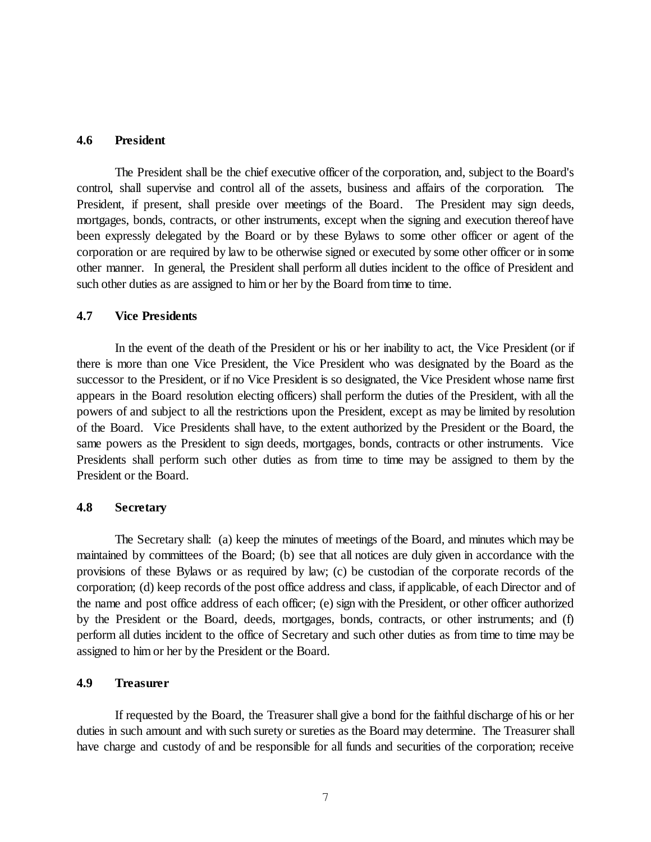## **4.6 President**

The President shall be the chief executive officer of the corporation, and, subject to the Board's control, shall supervise and control all of the assets, business and affairs of the corporation. The President, if present, shall preside over meetings of the Board. The President may sign deeds, mortgages, bonds, contracts, or other instruments, except when the signing and execution thereof have been expressly delegated by the Board or by these Bylaws to some other officer or agent of the corporation or are required by law to be otherwise signed or executed by some other officer or in some other manner. In general, the President shall perform all duties incident to the office of President and such other duties as are assigned to him or her by the Board from time to time.

## **4.7 Vice Presidents**

In the event of the death of the President or his or her inability to act, the Vice President (or if there is more than one Vice President, the Vice President who was designated by the Board as the successor to the President, or if no Vice President is so designated, the Vice President whose name first appears in the Board resolution electing officers) shall perform the duties of the President, with all the powers of and subject to all the restrictions upon the President, except as may be limited by resolution of the Board. Vice Presidents shall have, to the extent authorized by the President or the Board, the same powers as the President to sign deeds, mortgages, bonds, contracts or other instruments. Vice Presidents shall perform such other duties as from time to time may be assigned to them by the President or the Board.

#### **4.8 Secretary**

The Secretary shall: (a) keep the minutes of meetings of the Board, and minutes which may be maintained by committees of the Board; (b) see that all notices are duly given in accordance with the provisions of these Bylaws or as required by law; (c) be custodian of the corporate records of the corporation; (d) keep records of the post office address and class, if applicable, of each Director and of the name and post office address of each officer; (e) sign with the President, or other officer authorized by the President or the Board, deeds, mortgages, bonds, contracts, or other instruments; and (f) perform all duties incident to the office of Secretary and such other duties as from time to time may be assigned to him or her by the President or the Board.

## **4.9 Treasurer**

If requested by the Board, the Treasurer shall give a bond for the faithful discharge of his or her duties in such amount and with such surety or sureties as the Board may determine. The Treasurer shall have charge and custody of and be responsible for all funds and securities of the corporation; receive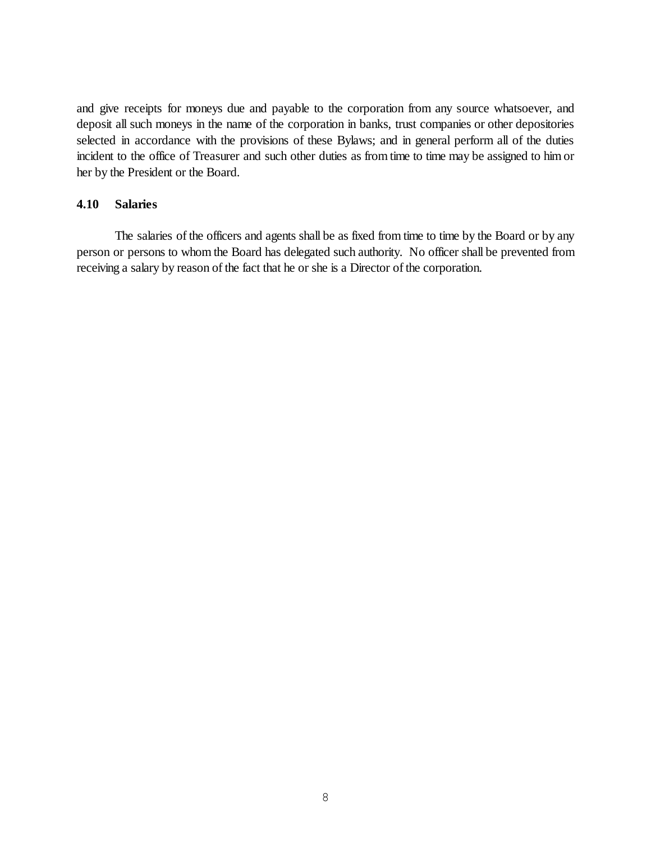and give receipts for moneys due and payable to the corporation from any source whatsoever, and deposit all such moneys in the name of the corporation in banks, trust companies or other depositories selected in accordance with the provisions of these Bylaws; and in general perform all of the duties incident to the office of Treasurer and such other duties as from time to time may be assigned to him or her by the President or the Board.

# **4.10 Salaries**

The salaries of the officers and agents shall be as fixed from time to time by the Board or by any person or persons to whom the Board has delegated such authority. No officer shall be prevented from receiving a salary by reason of the fact that he or she is a Director of the corporation.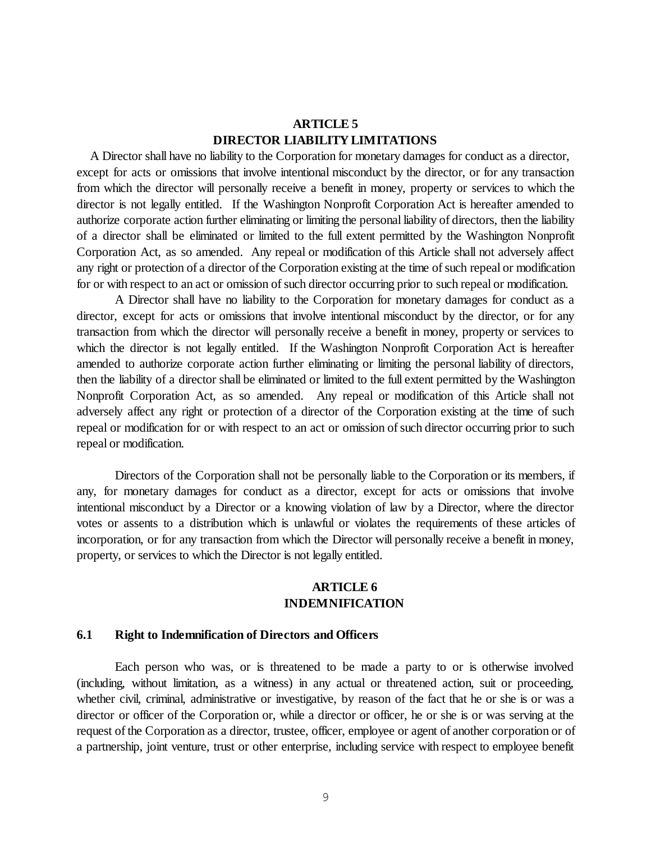# **ARTICLE 5 DIRECTOR LIABILITY LIMITATIONS**

A Director shall have no liability to the Corporation for monetary damages for conduct as a director, except for acts or omissions that involve intentional misconduct by the director, or for any transaction from which the director will personally receive a benefit in money, property or services to which the director is not legally entitled. If the Washington Nonprofit Corporation Act is hereafter amended to authorize corporate action further eliminating or limiting the personal liability of directors, then the liability of a director shall be eliminated or limited to the full extent permitted by the Washington Nonprofit Corporation Act, as so amended. Any repeal or modification of this Article shall not adversely affect any right or protection of a director of the Corporation existing at the time of such repeal or modification for or with respect to an act or omission of such director occurring prior to such repeal or modification.

A Director shall have no liability to the Corporation for monetary damages for conduct as a director, except for acts or omissions that involve intentional misconduct by the director, or for any transaction from which the director will personally receive a benefit in money, property or services to which the director is not legally entitled. If the Washington Nonprofit Corporation Act is hereafter amended to authorize corporate action further eliminating or limiting the personal liability of directors, then the liability of a director shall be eliminated or limited to the full extent permitted by the Washington Nonprofit Corporation Act, as so amended. Any repeal or modification of this Article shall not adversely affect any right or protection of a director of the Corporation existing at the time of such repeal or modification for or with respect to an act or omission of such director occurring prior to such repeal or modification.

Directors of the Corporation shall not be personally liable to the Corporation or its members, if any, for monetary damages for conduct as a director, except for acts or omissions that involve intentional misconduct by a Director or a knowing violation of law by a Director, where the director votes or assents to a distribution which is unlawful or violates the requirements of these articles of incorporation, or for any transaction from which the Director will personally receive a benefit in money, property, or services to which the Director is not legally entitled.

## **ARTICLE 6 INDEMNIFICATION**

#### **6.1 Right to Indemnification of Directors and Officers**

Each person who was, or is threatened to be made a party to or is otherwise involved (including, without limitation, as a witness) in any actual or threatened action, suit or proceeding, whether civil, criminal, administrative or investigative, by reason of the fact that he or she is or was a director or officer of the Corporation or, while a director or officer, he or she is or was serving at the request of the Corporation as a director, trustee, officer, employee or agent of another corporation or of a partnership, joint venture, trust or other enterprise, including service with respect to employee benefit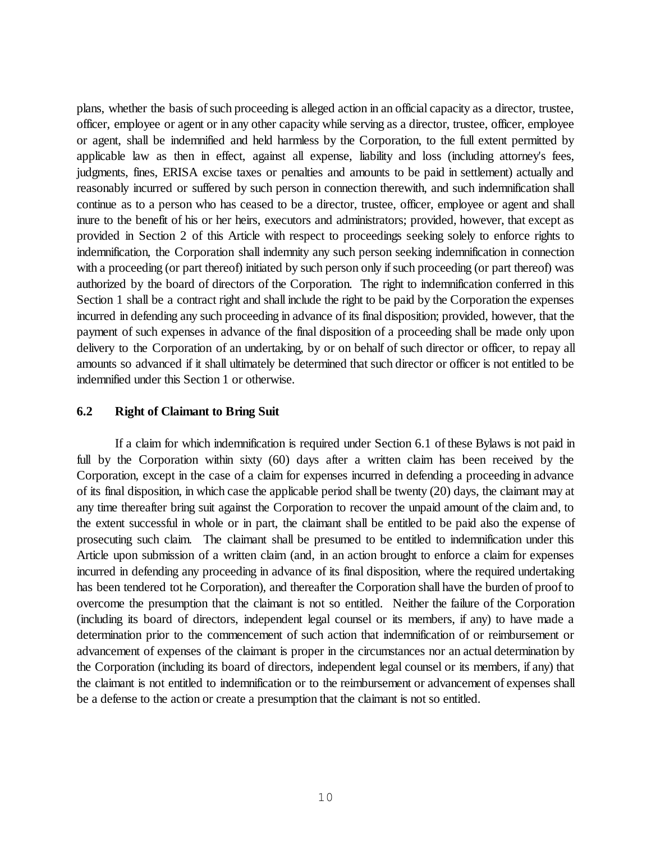plans, whether the basis of such proceeding is alleged action in an official capacity as a director, trustee, officer, employee or agent or in any other capacity while serving as a director, trustee, officer, employee or agent, shall be indemnified and held harmless by the Corporation, to the full extent permitted by applicable law as then in effect, against all expense, liability and loss (including attorney's fees, judgments, fines, ERISA excise taxes or penalties and amounts to be paid in settlement) actually and reasonably incurred or suffered by such person in connection therewith, and such indemnification shall continue as to a person who has ceased to be a director, trustee, officer, employee or agent and shall inure to the benefit of his or her heirs, executors and administrators; provided, however, that except as provided in Section 2 of this Article with respect to proceedings seeking solely to enforce rights to indemnification, the Corporation shall indemnity any such person seeking indemnification in connection with a proceeding (or part thereof) initiated by such person only if such proceeding (or part thereof) was authorized by the board of directors of the Corporation. The right to indemnification conferred in this Section 1 shall be a contract right and shall include the right to be paid by the Corporation the expenses incurred in defending any such proceeding in advance of its final disposition; provided, however, that the payment of such expenses in advance of the final disposition of a proceeding shall be made only upon delivery to the Corporation of an undertaking, by or on behalf of such director or officer, to repay all amounts so advanced if it shall ultimately be determined that such director or officer is not entitled to be indemnified under this Section 1 or otherwise.

## **6.2 Right of Claimant to Bring Suit**

If a claim for which indemnification is required under Section 6.1 of these Bylaws is not paid in full by the Corporation within sixty (60) days after a written claim has been received by the Corporation, except in the case of a claim for expenses incurred in defending a proceeding in advance of its final disposition, in which case the applicable period shall be twenty (20) days, the claimant may at any time thereafter bring suit against the Corporation to recover the unpaid amount of the claim and, to the extent successful in whole or in part, the claimant shall be entitled to be paid also the expense of prosecuting such claim. The claimant shall be presumed to be entitled to indemnification under this Article upon submission of a written claim (and, in an action brought to enforce a claim for expenses incurred in defending any proceeding in advance of its final disposition, where the required undertaking has been tendered tot he Corporation), and thereafter the Corporation shall have the burden of proof to overcome the presumption that the claimant is not so entitled. Neither the failure of the Corporation (including its board of directors, independent legal counsel or its members, if any) to have made a determination prior to the commencement of such action that indemnification of or reimbursement or advancement of expenses of the claimant is proper in the circumstances nor an actual determination by the Corporation (including its board of directors, independent legal counsel or its members, if any) that the claimant is not entitled to indemnification or to the reimbursement or advancement of expenses shall be a defense to the action or create a presumption that the claimant is not so entitled.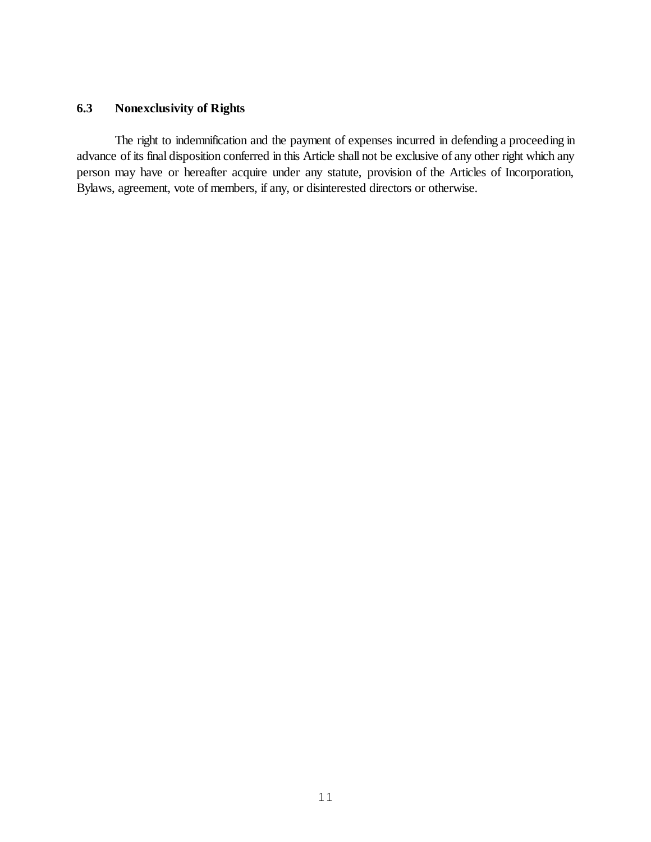# **6.3 Nonexclusivity of Rights**

The right to indemnification and the payment of expenses incurred in defending a proceeding in advance of its final disposition conferred in this Article shall not be exclusive of any other right which any person may have or hereafter acquire under any statute, provision of the Articles of Incorporation, Bylaws, agreement, vote of members, if any, or disinterested directors or otherwise.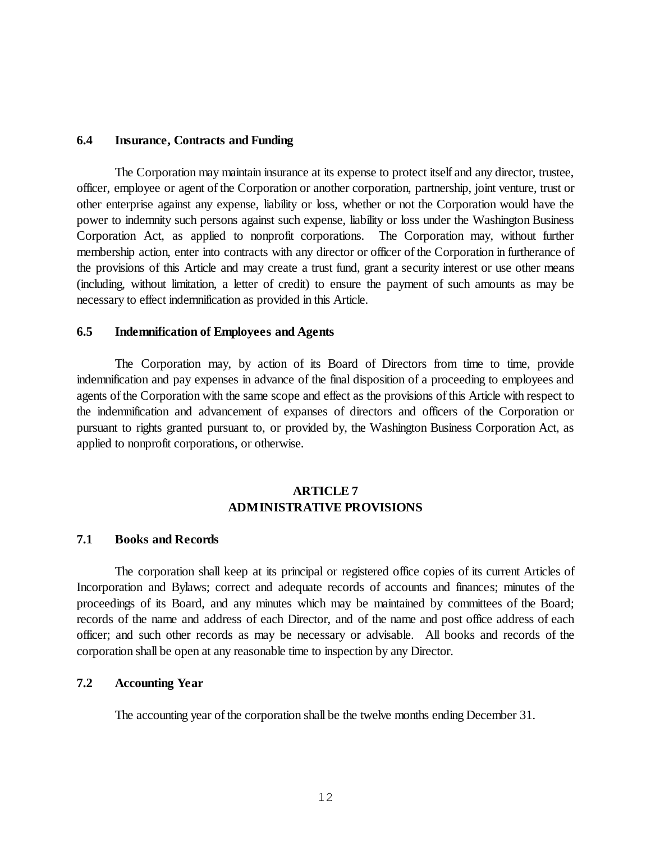## **6.4 Insurance, Contracts and Funding**

The Corporation may maintain insurance at its expense to protect itself and any director, trustee, officer, employee or agent of the Corporation or another corporation, partnership, joint venture, trust or other enterprise against any expense, liability or loss, whether or not the Corporation would have the power to indemnity such persons against such expense, liability or loss under the Washington Business Corporation Act, as applied to nonprofit corporations. The Corporation may, without further membership action, enter into contracts with any director or officer of the Corporation in furtherance of the provisions of this Article and may create a trust fund, grant a security interest or use other means (including, without limitation, a letter of credit) to ensure the payment of such amounts as may be necessary to effect indemnification as provided in this Article.

#### **6.5 Indemnification of Employees and Agents**

The Corporation may, by action of its Board of Directors from time to time, provide indemnification and pay expenses in advance of the final disposition of a proceeding to employees and agents of the Corporation with the same scope and effect as the provisions of this Article with respect to the indemnification and advancement of expanses of directors and officers of the Corporation or pursuant to rights granted pursuant to, or provided by, the Washington Business Corporation Act, as applied to nonprofit corporations, or otherwise.

# **ARTICLE 7 ADMINISTRATIVE PROVISIONS**

## **7.1 Books and Records**

The corporation shall keep at its principal or registered office copies of its current Articles of Incorporation and Bylaws; correct and adequate records of accounts and finances; minutes of the proceedings of its Board, and any minutes which may be maintained by committees of the Board; records of the name and address of each Director, and of the name and post office address of each officer; and such other records as may be necessary or advisable. All books and records of the corporation shall be open at any reasonable time to inspection by any Director.

## **7.2 Accounting Year**

The accounting year of the corporation shall be the twelve months ending December 31.